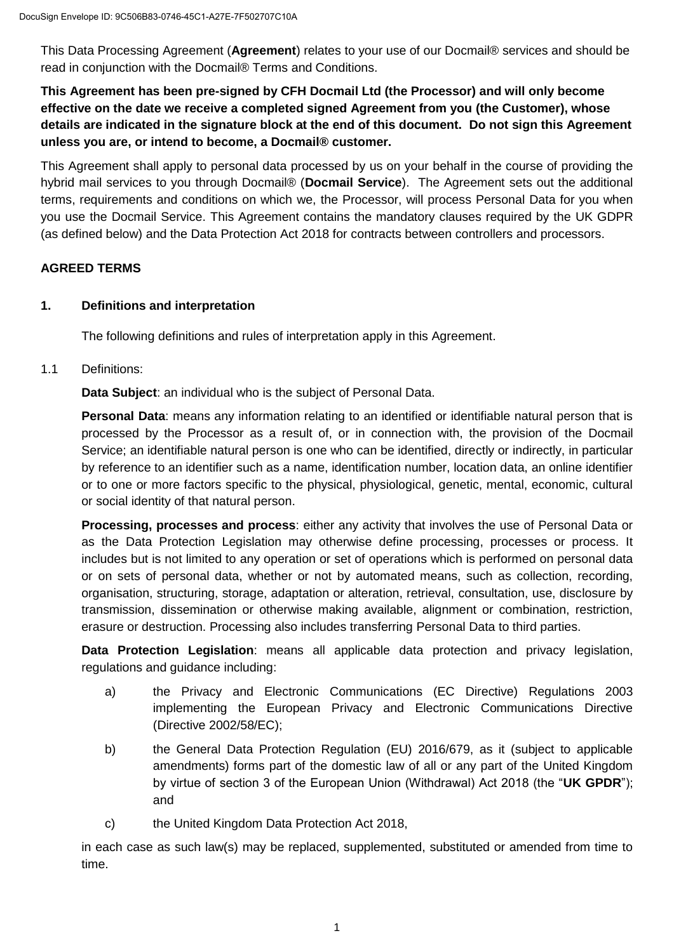This Data Processing Agreement (**Agreement**) relates to your use of our Docmail® services and should be read in conjunction with the Docmail® Terms and Conditions.

**This Agreement has been pre-signed by CFH Docmail Ltd (the Processor) and will only become effective on the date we receive a completed signed Agreement from you (the Customer), whose details are indicated in the signature block at the end of this document. Do not sign this Agreement unless you are, or intend to become, a Docmail® customer.**

This Agreement shall apply to personal data processed by us on your behalf in the course of providing the hybrid mail services to you through Docmail® (**Docmail Service**). The Agreement sets out the additional terms, requirements and conditions on which we, the Processor, will process Personal Data for you when you use the Docmail Service. This Agreement contains the mandatory clauses required by the UK GDPR (as defined below) and the Data Protection Act 2018 for contracts between controllers and processors.

## **AGREED TERMS**

### **1. Definitions and interpretation**

The following definitions and rules of interpretation apply in this Agreement.

1.1 Definitions:

**Data Subject**: an individual who is the subject of Personal Data.

**Personal Data**: means any information relating to an identified or identifiable natural person that is processed by the Processor as a result of, or in connection with, the provision of the Docmail Service; an identifiable natural person is one who can be identified, directly or indirectly, in particular by reference to an identifier such as a name, identification number, location data, an online identifier or to one or more factors specific to the physical, physiological, genetic, mental, economic, cultural or social identity of that natural person.

**Processing, processes and process**: either any activity that involves the use of Personal Data or as the Data Protection Legislation may otherwise define processing, processes or process. It includes but is not limited to any operation or set of operations which is performed on personal data or on sets of personal data, whether or not by automated means, such as collection, recording, organisation, structuring, storage, adaptation or alteration, retrieval, consultation, use, disclosure by transmission, dissemination or otherwise making available, alignment or combination, restriction, erasure or destruction. Processing also includes transferring Personal Data to third parties.

**Data Protection Legislation**: means all applicable data protection and privacy legislation, regulations and guidance including:

- a) the Privacy and Electronic Communications (EC Directive) Regulations 2003 implementing the European Privacy and Electronic Communications Directive (Directive 2002/58/EC);
- b) the General Data Protection Regulation (EU) 2016/679, as it (subject to applicable amendments) forms part of the domestic law of all or any part of the United Kingdom by virtue of section 3 of the European Union (Withdrawal) Act 2018 (the "**UK GPDR**"); and
- c) the United Kingdom Data Protection Act 2018,

in each case as such law(s) may be replaced, supplemented, substituted or amended from time to time.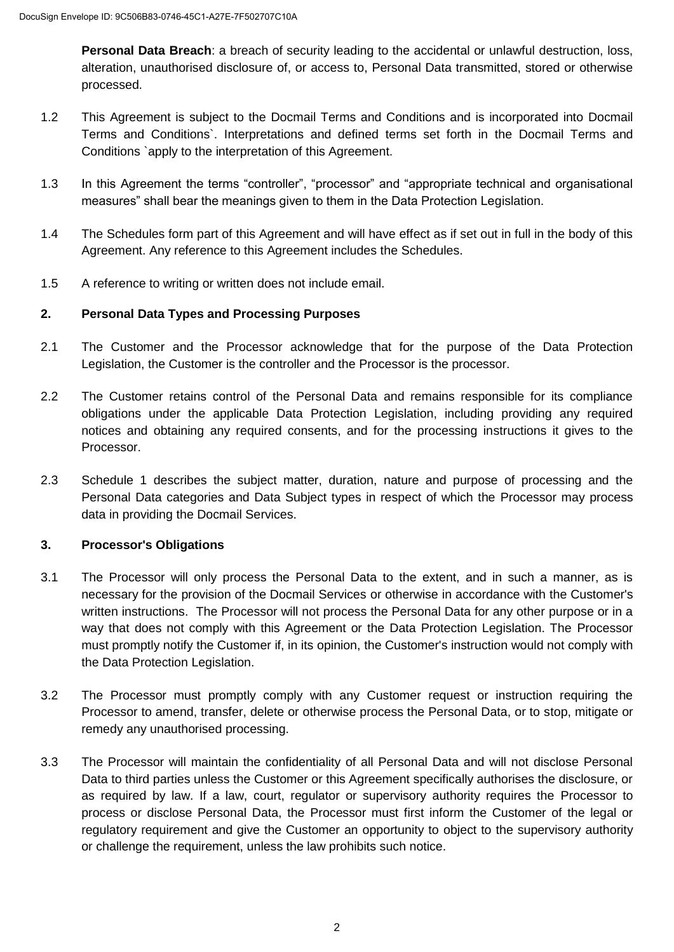**Personal Data Breach**: a breach of security leading to the accidental or unlawful destruction, loss, alteration, unauthorised disclosure of, or access to, Personal Data transmitted, stored or otherwise processed.

- 1.2 This Agreement is subject to the Docmail Terms and Conditions and is incorporated into Docmail Terms and Conditions`. Interpretations and defined terms set forth in the Docmail Terms and Conditions `apply to the interpretation of this Agreement.
- 1.3 In this Agreement the terms "controller", "processor" and "appropriate technical and organisational measures" shall bear the meanings given to them in the Data Protection Legislation.
- 1.4 The Schedules form part of this Agreement and will have effect as if set out in full in the body of this Agreement. Any reference to this Agreement includes the Schedules.
- 1.5 A reference to writing or written does not include email.

## **2. Personal Data Types and Processing Purposes**

- 2.1 The Customer and the Processor acknowledge that for the purpose of the Data Protection Legislation, the Customer is the controller and the Processor is the processor.
- 2.2 The Customer retains control of the Personal Data and remains responsible for its compliance obligations under the applicable Data Protection Legislation, including providing any required notices and obtaining any required consents, and for the processing instructions it gives to the Processor.
- 2.3 Schedule 1 describes the subject matter, duration, nature and purpose of processing and the Personal Data categories and Data Subject types in respect of which the Processor may process data in providing the Docmail Services.

### **3. Processor's Obligations**

- 3.1 The Processor will only process the Personal Data to the extent, and in such a manner, as is necessary for the provision of the Docmail Services or otherwise in accordance with the Customer's written instructions. The Processor will not process the Personal Data for any other purpose or in a way that does not comply with this Agreement or the Data Protection Legislation. The Processor must promptly notify the Customer if, in its opinion, the Customer's instruction would not comply with the Data Protection Legislation.
- 3.2 The Processor must promptly comply with any Customer request or instruction requiring the Processor to amend, transfer, delete or otherwise process the Personal Data, or to stop, mitigate or remedy any unauthorised processing.
- 3.3 The Processor will maintain the confidentiality of all Personal Data and will not disclose Personal Data to third parties unless the Customer or this Agreement specifically authorises the disclosure, or as required by law. If a law, court, regulator or supervisory authority requires the Processor to process or disclose Personal Data, the Processor must first inform the Customer of the legal or regulatory requirement and give the Customer an opportunity to object to the supervisory authority or challenge the requirement, unless the law prohibits such notice.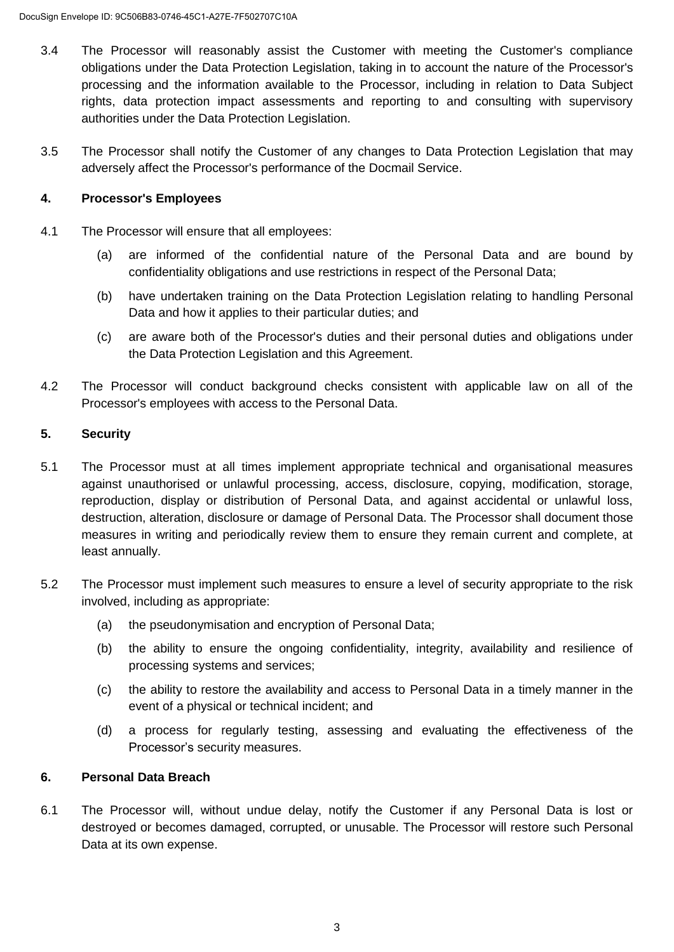- 3.4 The Processor will reasonably assist the Customer with meeting the Customer's compliance obligations under the Data Protection Legislation, taking in to account the nature of the Processor's processing and the information available to the Processor, including in relation to Data Subject rights, data protection impact assessments and reporting to and consulting with supervisory authorities under the Data Protection Legislation.
- 3.5 The Processor shall notify the Customer of any changes to Data Protection Legislation that may adversely affect the Processor's performance of the Docmail Service.

### **4. Processor's Employees**

- 4.1 The Processor will ensure that all employees:
	- (a) are informed of the confidential nature of the Personal Data and are bound by confidentiality obligations and use restrictions in respect of the Personal Data;
	- (b) have undertaken training on the Data Protection Legislation relating to handling Personal Data and how it applies to their particular duties; and
	- (c) are aware both of the Processor's duties and their personal duties and obligations under the Data Protection Legislation and this Agreement.
- 4.2 The Processor will conduct background checks consistent with applicable law on all of the Processor's employees with access to the Personal Data.

## **5. Security**

- 5.1 The Processor must at all times implement appropriate technical and organisational measures against unauthorised or unlawful processing, access, disclosure, copying, modification, storage, reproduction, display or distribution of Personal Data, and against accidental or unlawful loss, destruction, alteration, disclosure or damage of Personal Data. The Processor shall document those measures in writing and periodically review them to ensure they remain current and complete, at least annually.
- 5.2 The Processor must implement such measures to ensure a level of security appropriate to the risk involved, including as appropriate:
	- (a) the pseudonymisation and encryption of Personal Data;
	- (b) the ability to ensure the ongoing confidentiality, integrity, availability and resilience of processing systems and services;
	- (c) the ability to restore the availability and access to Personal Data in a timely manner in the event of a physical or technical incident; and
	- (d) a process for regularly testing, assessing and evaluating the effectiveness of the Processor's security measures.

## **6. Personal Data Breach**

6.1 The Processor will, without undue delay, notify the Customer if any Personal Data is lost or destroyed or becomes damaged, corrupted, or unusable. The Processor will restore such Personal Data at its own expense.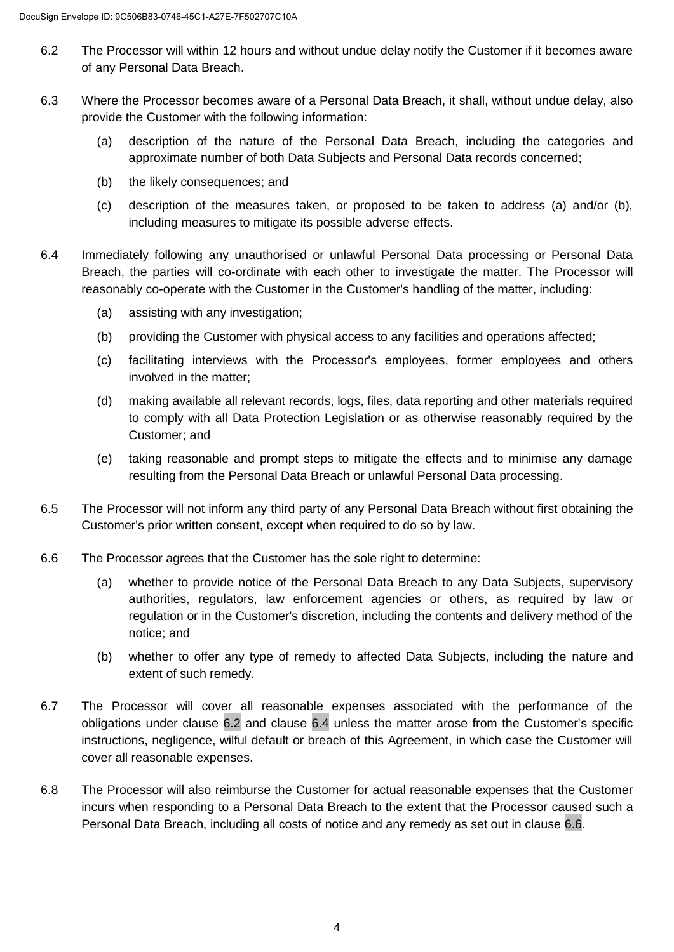- 6.2 The Processor will within 12 hours and without undue delay notify the Customer if it becomes aware of any Personal Data Breach.
- 6.3 Where the Processor becomes aware of a Personal Data Breach, it shall, without undue delay, also provide the Customer with the following information:
	- (a) description of the nature of the Personal Data Breach, including the categories and approximate number of both Data Subjects and Personal Data records concerned;
	- (b) the likely consequences; and
	- (c) description of the measures taken, or proposed to be taken to address (a) and/or (b), including measures to mitigate its possible adverse effects.
- 6.4 Immediately following any unauthorised or unlawful Personal Data processing or Personal Data Breach, the parties will co-ordinate with each other to investigate the matter. The Processor will reasonably co-operate with the Customer in the Customer's handling of the matter, including:
	- (a) assisting with any investigation;
	- (b) providing the Customer with physical access to any facilities and operations affected;
	- (c) facilitating interviews with the Processor's employees, former employees and others involved in the matter;
	- (d) making available all relevant records, logs, files, data reporting and other materials required to comply with all Data Protection Legislation or as otherwise reasonably required by the Customer; and
	- (e) taking reasonable and prompt steps to mitigate the effects and to minimise any damage resulting from the Personal Data Breach or unlawful Personal Data processing.
- 6.5 The Processor will not inform any third party of any Personal Data Breach without first obtaining the Customer's prior written consent, except when required to do so by law.
- 6.6 The Processor agrees that the Customer has the sole right to determine:
	- (a) whether to provide notice of the Personal Data Breach to any Data Subjects, supervisory authorities, regulators, law enforcement agencies or others, as required by law or regulation or in the Customer's discretion, including the contents and delivery method of the notice; and
	- (b) whether to offer any type of remedy to affected Data Subjects, including the nature and extent of such remedy.
- 6.7 The Processor will cover all reasonable expenses associated with the performance of the obligations under clause [6.2](#page--1-0) and clause [6.4](#page--1-1) unless the matter arose from the Customer's specific instructions, negligence, wilful default or breach of this Agreement, in which case the Customer will cover all reasonable expenses.
- 6.8 The Processor will also reimburse the Customer for actual reasonable expenses that the Customer incurs when responding to a Personal Data Breach to the extent that the Processor caused such a Personal Data Breach, including all costs of notice and any remedy as set out in clause [6.6.](#page--1-2)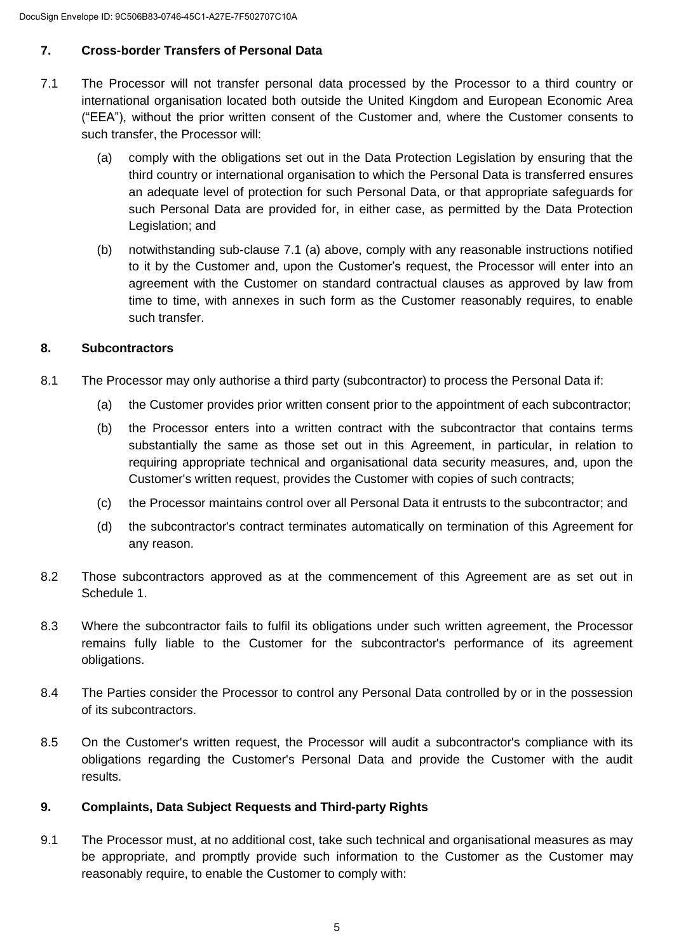# **7. Cross-border Transfers of Personal Data**

- 7.1 The Processor will not transfer personal data processed by the Processor to a third country or international organisation located both outside the United Kingdom and European Economic Area ("EEA"), without the prior written consent of the Customer and, where the Customer consents to such transfer, the Processor will:
	- (a) comply with the obligations set out in the Data Protection Legislation by ensuring that the third country or international organisation to which the Personal Data is transferred ensures an adequate level of protection for such Personal Data, or that appropriate safeguards for such Personal Data are provided for, in either case, as permitted by the Data Protection Legislation; and
	- (b) notwithstanding sub-clause 7.1 (a) above, comply with any reasonable instructions notified to it by the Customer and, upon the Customer's request, the Processor will enter into an agreement with the Customer on standard contractual clauses as approved by law from time to time, with annexes in such form as the Customer reasonably requires, to enable such transfer.

## **8. Subcontractors**

- 8.1 The Processor may only authorise a third party (subcontractor) to process the Personal Data if:
	- (a) the Customer provides prior written consent prior to the appointment of each subcontractor;
	- (b) the Processor enters into a written contract with the subcontractor that contains terms substantially the same as those set out in this Agreement, in particular, in relation to requiring appropriate technical and organisational data security measures, and, upon the Customer's written request, provides the Customer with copies of such contracts;
	- (c) the Processor maintains control over all Personal Data it entrusts to the subcontractor; and
	- (d) the subcontractor's contract terminates automatically on termination of this Agreement for any reason.
- 8.2 Those subcontractors approved as at the commencement of this Agreement are as set out in Schedule 1.
- 8.3 Where the subcontractor fails to fulfil its obligations under such written agreement, the Processor remains fully liable to the Customer for the subcontractor's performance of its agreement obligations.
- 8.4 The Parties consider the Processor to control any Personal Data controlled by or in the possession of its subcontractors.
- 8.5 On the Customer's written request, the Processor will audit a subcontractor's compliance with its obligations regarding the Customer's Personal Data and provide the Customer with the audit results.

## **9. Complaints, Data Subject Requests and Third-party Rights**

9.1 The Processor must, at no additional cost, take such technical and organisational measures as may be appropriate, and promptly provide such information to the Customer as the Customer may reasonably require, to enable the Customer to comply with: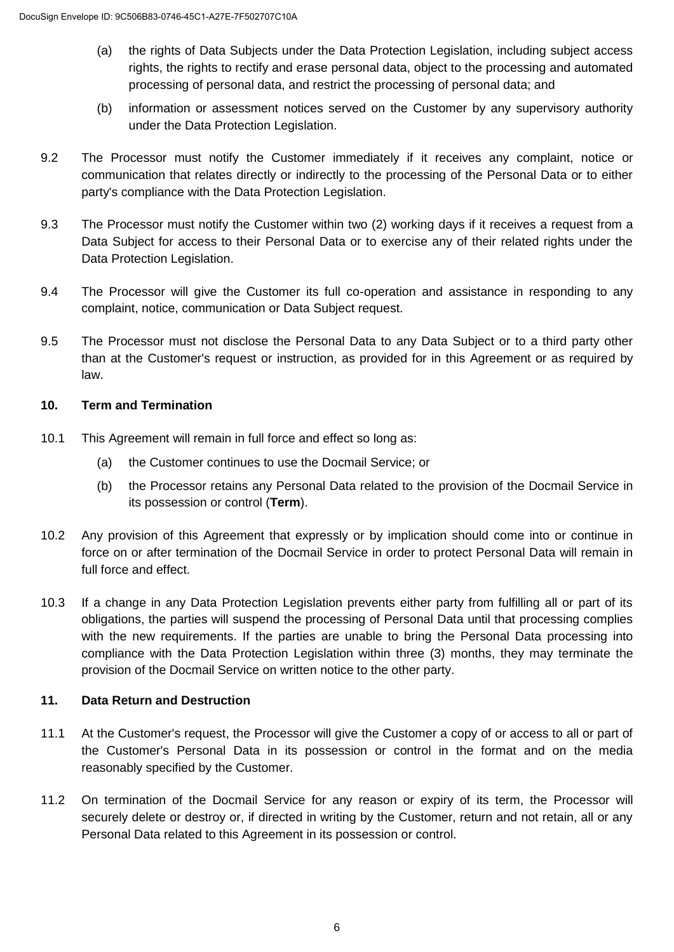- (a) the rights of Data Subjects under the Data Protection Legislation, including subject access rights, the rights to rectify and erase personal data, object to the processing and automated processing of personal data, and restrict the processing of personal data; and
- (b) information or assessment notices served on the Customer by any supervisory authority under the Data Protection Legislation.
- 9.2 The Processor must notify the Customer immediately if it receives any complaint, notice or communication that relates directly or indirectly to the processing of the Personal Data or to either party's compliance with the Data Protection Legislation.
- 9.3 The Processor must notify the Customer within two (2) working days if it receives a request from a Data Subject for access to their Personal Data or to exercise any of their related rights under the Data Protection Legislation.
- 9.4 The Processor will give the Customer its full co-operation and assistance in responding to any complaint, notice, communication or Data Subject request.
- 9.5 The Processor must not disclose the Personal Data to any Data Subject or to a third party other than at the Customer's request or instruction, as provided for in this Agreement or as required by law.

## **10. Term and Termination**

- 10.1 This Agreement will remain in full force and effect so long as:
	- (a) the Customer continues to use the Docmail Service; or
	- (b) the Processor retains any Personal Data related to the provision of the Docmail Service in its possession or control (**Term**).
- 10.2 Any provision of this Agreement that expressly or by implication should come into or continue in force on or after termination of the Docmail Service in order to protect Personal Data will remain in full force and effect.
- 10.3 If a change in any Data Protection Legislation prevents either party from fulfilling all or part of its obligations, the parties will suspend the processing of Personal Data until that processing complies with the new requirements. If the parties are unable to bring the Personal Data processing into compliance with the Data Protection Legislation within three (3) months, they may terminate the provision of the Docmail Service on written notice to the other party.

## **11. Data Return and Destruction**

- 11.1 At the Customer's request, the Processor will give the Customer a copy of or access to all or part of the Customer's Personal Data in its possession or control in the format and on the media reasonably specified by the Customer.
- 11.2 On termination of the Docmail Service for any reason or expiry of its term, the Processor will securely delete or destroy or, if directed in writing by the Customer, return and not retain, all or any Personal Data related to this Agreement in its possession or control.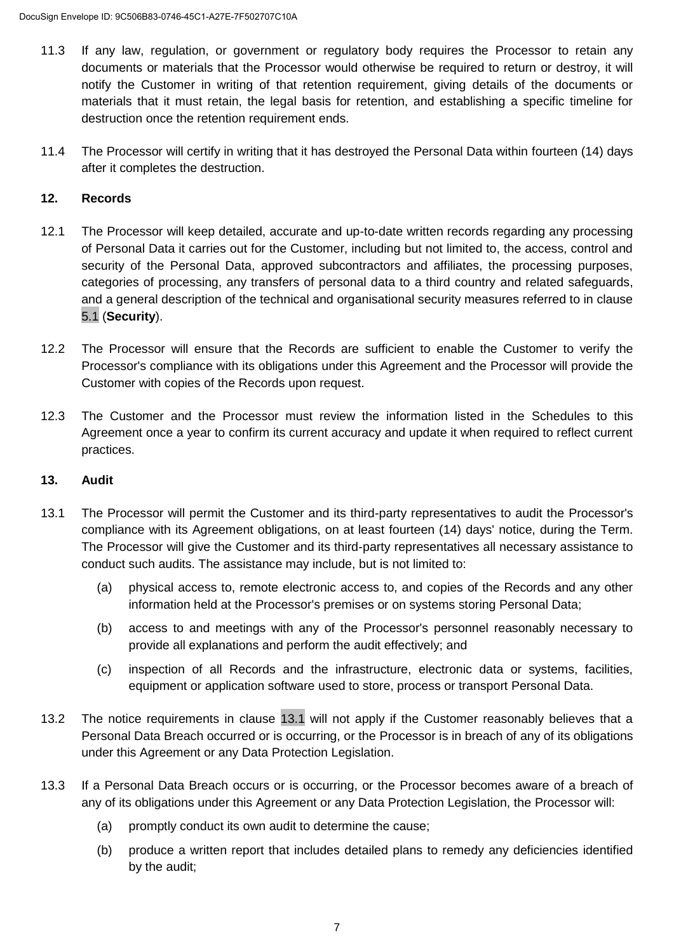- 11.3 If any law, regulation, or government or regulatory body requires the Processor to retain any documents or materials that the Processor would otherwise be required to return or destroy, it will notify the Customer in writing of that retention requirement, giving details of the documents or materials that it must retain, the legal basis for retention, and establishing a specific timeline for destruction once the retention requirement ends.
- 11.4 The Processor will certify in writing that it has destroyed the Personal Data within fourteen (14) days after it completes the destruction.

## **12. Records**

- 12.1 The Processor will keep detailed, accurate and up-to-date written records regarding any processing of Personal Data it carries out for the Customer, including but not limited to, the access, control and security of the Personal Data, approved subcontractors and affiliates, the processing purposes, categories of processing, any transfers of personal data to a third country and related safeguards, and a general description of the technical and organisational security measures referred to in clause [5.1](#page--1-3) (**Security**).
- 12.2 The Processor will ensure that the Records are sufficient to enable the Customer to verify the Processor's compliance with its obligations under this Agreement and the Processor will provide the Customer with copies of the Records upon request.
- 12.3 The Customer and the Processor must review the information listed in the Schedules to this Agreement once a year to confirm its current accuracy and update it when required to reflect current practices.

### **13. Audit**

- 13.1 The Processor will permit the Customer and its third-party representatives to audit the Processor's compliance with its Agreement obligations, on at least fourteen (14) days' notice, during the Term. The Processor will give the Customer and its third-party representatives all necessary assistance to conduct such audits. The assistance may include, but is not limited to:
	- (a) physical access to, remote electronic access to, and copies of the Records and any other information held at the Processor's premises or on systems storing Personal Data;
	- (b) access to and meetings with any of the Processor's personnel reasonably necessary to provide all explanations and perform the audit effectively; and
	- (c) inspection of all Records and the infrastructure, electronic data or systems, facilities, equipment or application software used to store, process or transport Personal Data.
- 13.2 The notice requirements in clause [13.1](#page--1-4) will not apply if the Customer reasonably believes that a Personal Data Breach occurred or is occurring, or the Processor is in breach of any of its obligations under this Agreement or any Data Protection Legislation.
- 13.3 If a Personal Data Breach occurs or is occurring, or the Processor becomes aware of a breach of any of its obligations under this Agreement or any Data Protection Legislation, the Processor will:
	- (a) promptly conduct its own audit to determine the cause;
	- (b) produce a written report that includes detailed plans to remedy any deficiencies identified by the audit;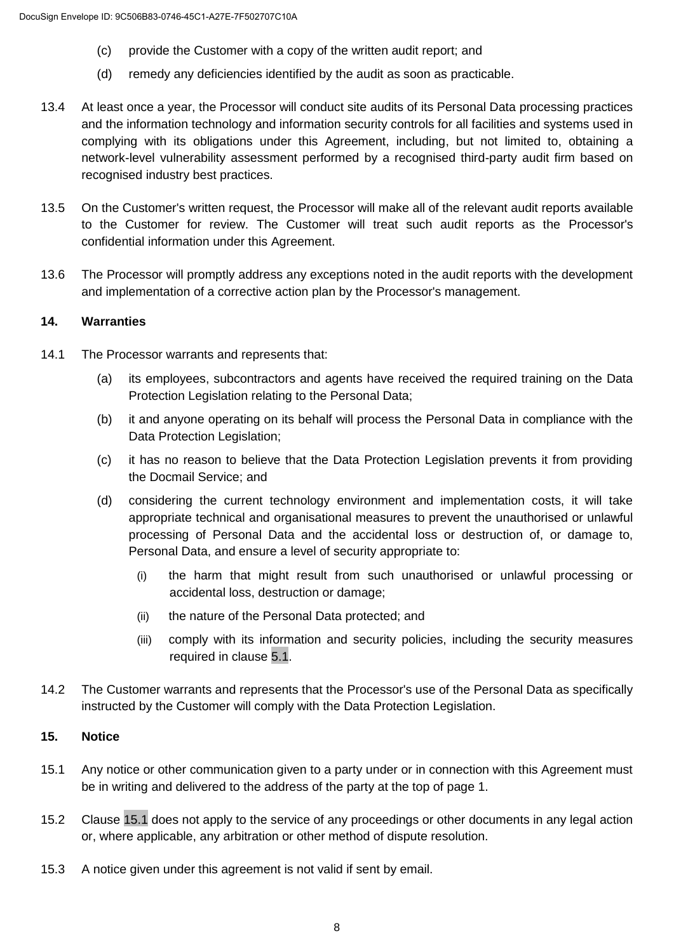- (c) provide the Customer with a copy of the written audit report; and
- (d) remedy any deficiencies identified by the audit as soon as practicable.
- 13.4 At least once a year, the Processor will conduct site audits of its Personal Data processing practices and the information technology and information security controls for all facilities and systems used in complying with its obligations under this Agreement, including, but not limited to, obtaining a network-level vulnerability assessment performed by a recognised third-party audit firm based on recognised industry best practices.
- 13.5 On the Customer's written request, the Processor will make all of the relevant audit reports available to the Customer for review. The Customer will treat such audit reports as the Processor's confidential information under this Agreement.
- 13.6 The Processor will promptly address any exceptions noted in the audit reports with the development and implementation of a corrective action plan by the Processor's management.

## **14. Warranties**

- 14.1 The Processor warrants and represents that:
	- (a) its employees, subcontractors and agents have received the required training on the Data Protection Legislation relating to the Personal Data;
	- (b) it and anyone operating on its behalf will process the Personal Data in compliance with the Data Protection Legislation;
	- (c) it has no reason to believe that the Data Protection Legislation prevents it from providing the Docmail Service; and
	- (d) considering the current technology environment and implementation costs, it will take appropriate technical and organisational measures to prevent the unauthorised or unlawful processing of Personal Data and the accidental loss or destruction of, or damage to, Personal Data, and ensure a level of security appropriate to:
		- (i) the harm that might result from such unauthorised or unlawful processing or accidental loss, destruction or damage;
		- (ii) the nature of the Personal Data protected; and
		- (iii) comply with its information and security policies, including the security measures required in clause [5.1.](#page--1-3)
- 14.2 The Customer warrants and represents that the Processor's use of the Personal Data as specifically instructed by the Customer will comply with the Data Protection Legislation.

## **15. Notice**

- 15.1 Any notice or other communication given to a party under or in connection with this Agreement must be in writing and delivered to the address of the party at the top of page 1.
- 15.2 Clause [15.1](#page--1-5) does not apply to the service of any proceedings or other documents in any legal action or, where applicable, any arbitration or other method of dispute resolution.
- 15.3 A notice given under this agreement is not valid if sent by email.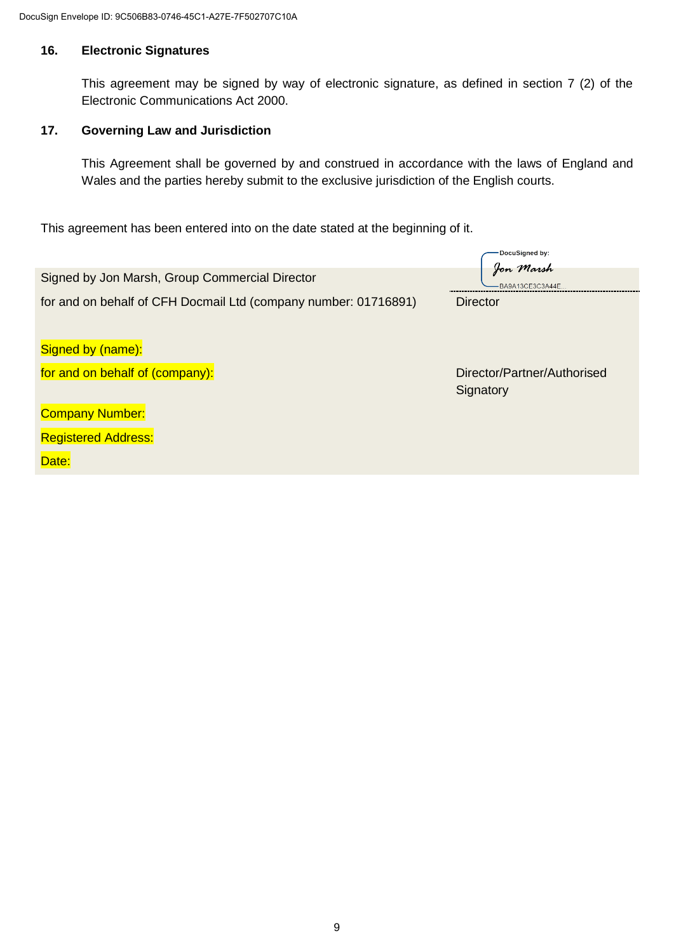### **16. Electronic Signatures**

This agreement may be signed by way of electronic signature, as defined in section 7 (2) of the Electronic Communications Act 2000.

## **17. Governing Law and Jurisdiction**

This Agreement shall be governed by and construed in accordance with the laws of England and Wales and the parties hereby submit to the exclusive jurisdiction of the English courts.

This agreement has been entered into on the date stated at the beginning of it.

|                                                                 | -DocuSigned by:                          |
|-----------------------------------------------------------------|------------------------------------------|
| Signed by Jon Marsh, Group Commercial Director                  | Jon Marsh<br>BA9A13CE3C3A44E.            |
| for and on behalf of CFH Docmail Ltd (company number: 01716891) | <b>Director</b>                          |
| Signed by (name):                                               |                                          |
| for and on behalf of (company):                                 | Director/Partner/Authorised<br>Signatory |
| <b>Company Number:</b>                                          |                                          |
| <b>Registered Address:</b>                                      |                                          |
| Date:                                                           |                                          |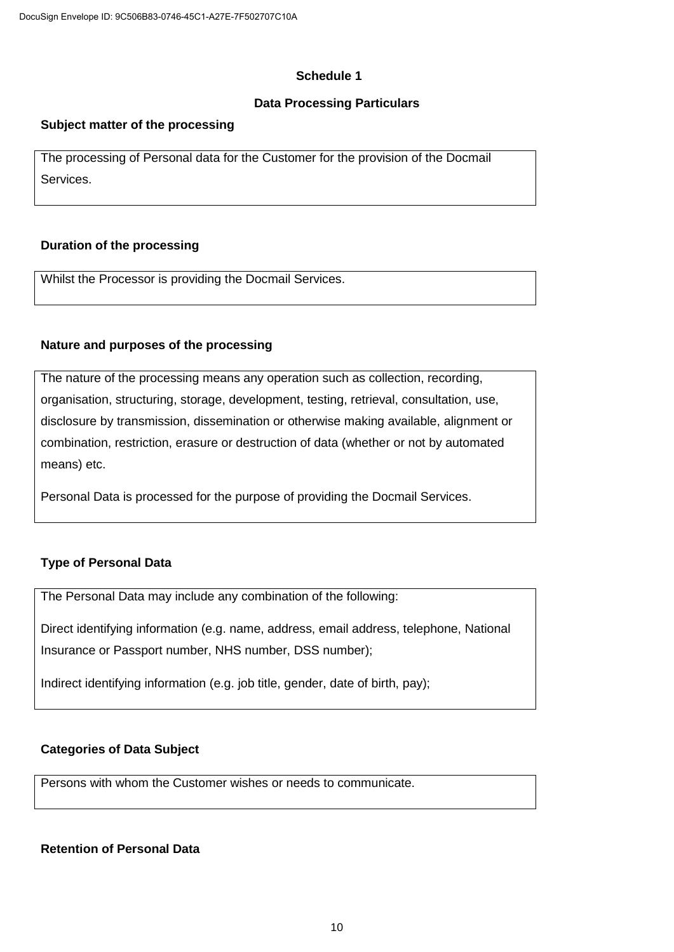#### **Schedule 1**

### **Data Processing Particulars**

### **Subject matter of the processing**

The processing of Personal data for the Customer for the provision of the Docmail Services.

### **Duration of the processing**

Whilst the Processor is providing the Docmail Services.

### **Nature and purposes of the processing**

The nature of the processing means any operation such as collection, recording, organisation, structuring, storage, development, testing, retrieval, consultation, use, disclosure by transmission, dissemination or otherwise making available, alignment or combination, restriction, erasure or destruction of data (whether or not by automated means) etc.

Personal Data is processed for the purpose of providing the Docmail Services.

### **Type of Personal Data**

The Personal Data may include any combination of the following:

Direct identifying information (e.g. name, address, email address, telephone, National Insurance or Passport number, NHS number, DSS number);

Indirect identifying information (e.g. job title, gender, date of birth, pay);

### **Categories of Data Subject**

Persons with whom the Customer wishes or needs to communicate.

#### **Retention of Personal Data**